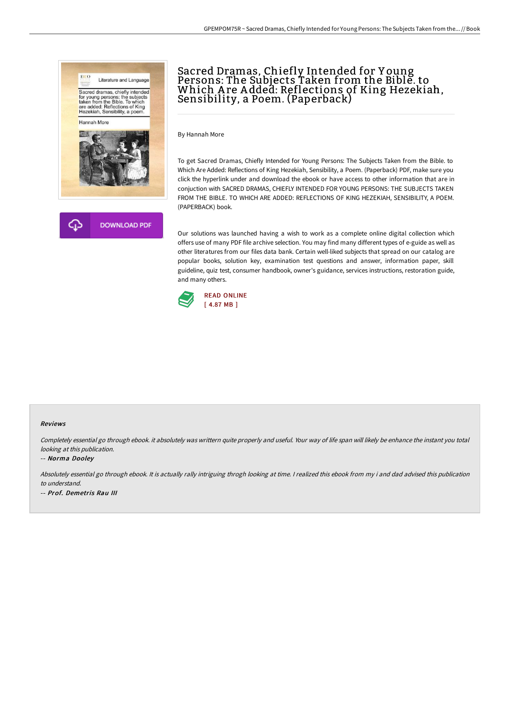



# Sacred Dramas, Chiefly Intended for Y oung Persons: The Subjects Taken from the Bible. to Which A re A dded: Reflections of King Hezekiah, Sensibility, a Poem. (Paperback)

By Hannah More

To get Sacred Dramas, Chiefly Intended for Young Persons: The Subjects Taken from the Bible. to Which Are Added: Reflections of King Hezekiah, Sensibility, a Poem. (Paperback) PDF, make sure you click the hyperlink under and download the ebook or have access to other information that are in conjuction with SACRED DRAMAS, CHIEFLY INTENDED FOR YOUNG PERSONS: THE SUBJECTS TAKEN FROM THE BIBLE. TO WHICH ARE ADDED: REFLECTIONS OF KING HEZEKIAH, SENSIBILITY, A POEM. (PAPERBACK) book.

Our solutions was launched having a wish to work as a complete online digital collection which offers use of many PDF file archive selection. You may find many different types of e-guide as well as other literatures from our files data bank. Certain well-liked subjects that spread on our catalog are popular books, solution key, examination test questions and answer, information paper, skill guideline, quiz test, consumer handbook, owner's guidance, services instructions, restoration guide, and many others.



#### Reviews

Completely essential go through ebook. it absolutely was writtern quite properly and useful. Your way of life span will likely be enhance the instant you total looking at this publication.

#### -- Norma Dooley

Absolutely essential go through ebook. It is actually rally intriguing throgh looking at time. <sup>I</sup> realized this ebook from my i and dad advised this publication to understand.

-- Prof. Demetris Rau III